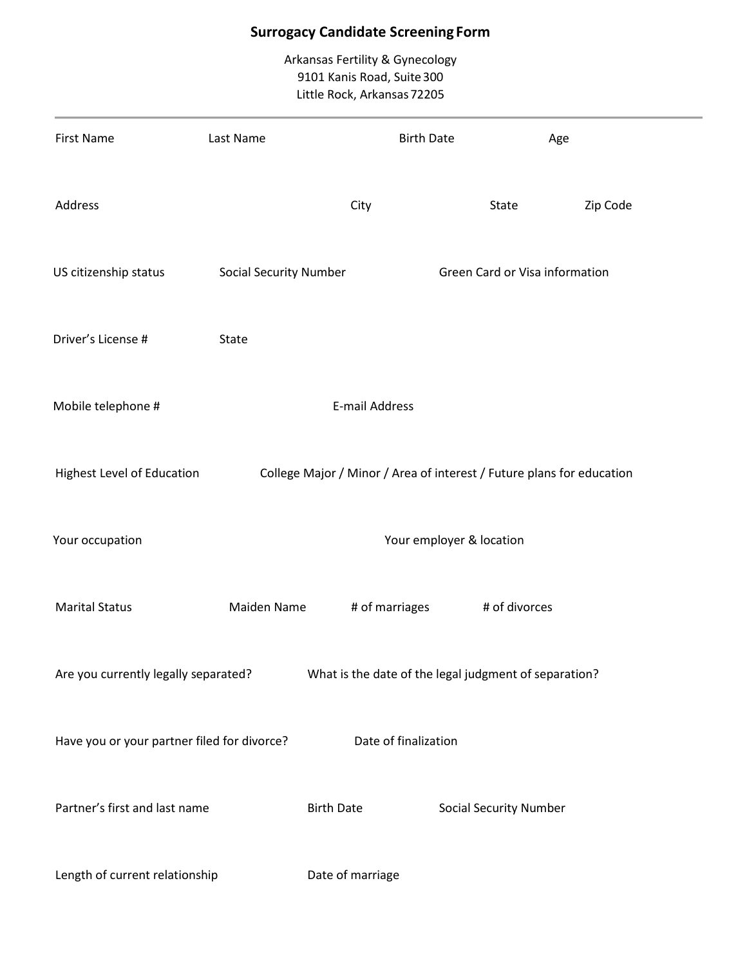# **Surrogacy Candidate Screening Form**

Arkansas Fertility & Gynecology 9101 Kanis Road, Suite 300 Little Rock, Arkansas72205

| <b>First Name</b>                           | Last Name                     | <b>Birth Date</b>                                                     |                                | Age      |
|---------------------------------------------|-------------------------------|-----------------------------------------------------------------------|--------------------------------|----------|
| Address                                     |                               | City                                                                  | State                          | Zip Code |
| US citizenship status                       | <b>Social Security Number</b> |                                                                       | Green Card or Visa information |          |
| Driver's License #                          | State                         |                                                                       |                                |          |
| Mobile telephone #                          |                               | <b>E-mail Address</b>                                                 |                                |          |
| Highest Level of Education                  |                               | College Major / Minor / Area of interest / Future plans for education |                                |          |
| Your occupation                             |                               |                                                                       | Your employer & location       |          |
| <b>Marital Status</b>                       | Maiden Name                   | # of marriages                                                        | # of divorces                  |          |
| Are you currently legally separated?        |                               | What is the date of the legal judgment of separation?                 |                                |          |
| Have you or your partner filed for divorce? |                               | Date of finalization                                                  |                                |          |
| Partner's first and last name               |                               | <b>Birth Date</b>                                                     | <b>Social Security Number</b>  |          |
| Length of current relationship              |                               | Date of marriage                                                      |                                |          |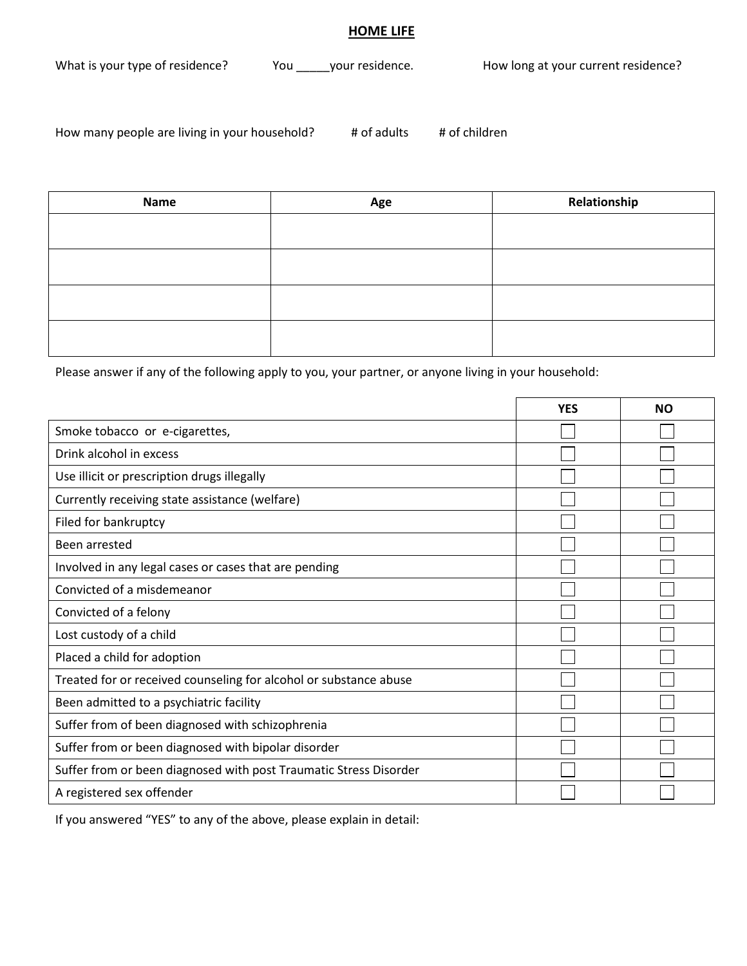#### **HOME LIFE**

What is your type of residence? You \_\_\_\_\_your residence. How long at your current residence?

How many people are living in your household? # of adults # of children

| <b>Name</b> | Age | Relationship |
|-------------|-----|--------------|
|             |     |              |
|             |     |              |
|             |     |              |
|             |     |              |

Please answer if any of the following apply to you, your partner, or anyone living in your household:

|                                                                   | <b>YES</b> | <b>NO</b> |
|-------------------------------------------------------------------|------------|-----------|
| Smoke tobacco or e-cigarettes,                                    |            |           |
| Drink alcohol in excess                                           |            |           |
| Use illicit or prescription drugs illegally                       |            |           |
| Currently receiving state assistance (welfare)                    |            |           |
| Filed for bankruptcy                                              |            |           |
| Been arrested                                                     |            |           |
| Involved in any legal cases or cases that are pending             |            |           |
| Convicted of a misdemeanor                                        |            |           |
| Convicted of a felony                                             |            |           |
| Lost custody of a child                                           |            |           |
| Placed a child for adoption                                       |            |           |
| Treated for or received counseling for alcohol or substance abuse |            |           |
| Been admitted to a psychiatric facility                           |            |           |
| Suffer from of been diagnosed with schizophrenia                  |            |           |
| Suffer from or been diagnosed with bipolar disorder               |            |           |
| Suffer from or been diagnosed with post Traumatic Stress Disorder |            |           |
| A registered sex offender                                         |            |           |

If you answered "YES" to any of the above, please explain in detail: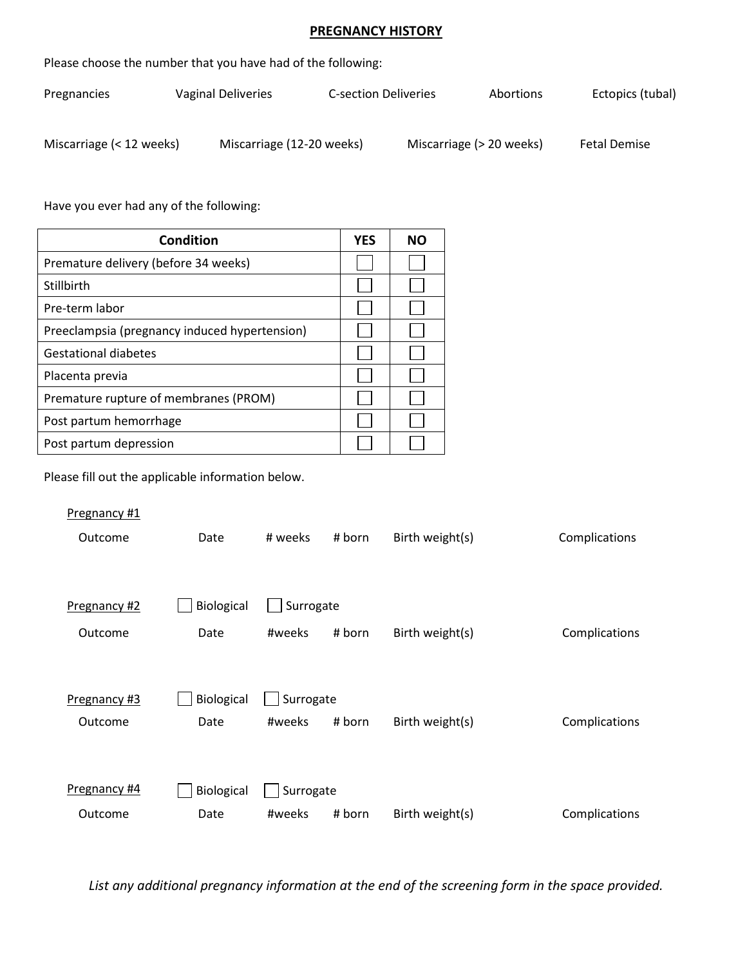## **PREGNANCY HISTORY**

| Please choose the number that you have had of the following: |                           |                             |                          |                     |  |  |
|--------------------------------------------------------------|---------------------------|-----------------------------|--------------------------|---------------------|--|--|
| Pregnancies                                                  | Vaginal Deliveries        | <b>C-section Deliveries</b> | Abortions                | Ectopics (tubal)    |  |  |
| Miscarriage (< 12 weeks)                                     | Miscarriage (12-20 weeks) |                             | Miscarriage (> 20 weeks) | <b>Fetal Demise</b> |  |  |

Have you ever had any of the following:

| Condition                                     | <b>YES</b> | <b>NO</b> |
|-----------------------------------------------|------------|-----------|
| Premature delivery (before 34 weeks)          |            |           |
| Stillbirth                                    |            |           |
| Pre-term labor                                |            |           |
| Preeclampsia (pregnancy induced hypertension) |            |           |
| <b>Gestational diabetes</b>                   |            |           |
| Placenta previa                               |            |           |
| Premature rupture of membranes (PROM)         |            |           |
| Post partum hemorrhage                        |            |           |
| Post partum depression                        |            |           |

Please fill out the applicable information below.

| Pregnancy #1 |            |           |        |                 |               |
|--------------|------------|-----------|--------|-----------------|---------------|
| Outcome      | Date       | # weeks   | # born | Birth weight(s) | Complications |
|              |            |           |        |                 |               |
|              |            |           |        |                 |               |
| Pregnancy #2 | Biological | Surrogate |        |                 |               |
| Outcome      | Date       | #weeks    | # born | Birth weight(s) | Complications |
|              |            |           |        |                 |               |
|              |            |           |        |                 |               |
| Pregnancy #3 | Biological | Surrogate |        |                 |               |
| Outcome      | Date       | #weeks    | # born | Birth weight(s) | Complications |
|              |            |           |        |                 |               |
|              |            |           |        |                 |               |
| Pregnancy #4 | Biological | Surrogate |        |                 |               |
| Outcome      | Date       | #weeks    | # born | Birth weight(s) | Complications |

*List any additional pregnancy information at the end of the screening form in the space provided.*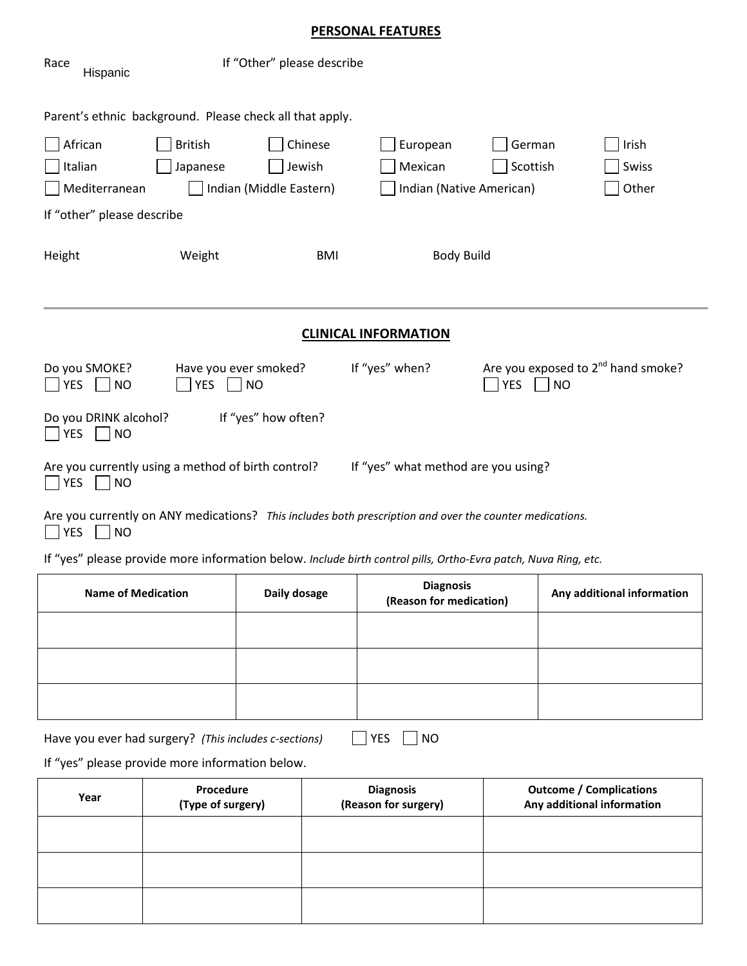# **PERSONAL FEATURES**

| Race<br>Hispanic                                                                                                                                                                            | If "Other" please describe      |                                             |                            |  |  |  |
|---------------------------------------------------------------------------------------------------------------------------------------------------------------------------------------------|---------------------------------|---------------------------------------------|----------------------------|--|--|--|
| Parent's ethnic background. Please check all that apply.                                                                                                                                    |                                 |                                             |                            |  |  |  |
| African<br><b>British</b>                                                                                                                                                                   | Chinese                         | European<br>German                          | Irish                      |  |  |  |
| Italian<br>Japanese                                                                                                                                                                         | Jewish                          | Mexican<br>Scottish                         | Swiss                      |  |  |  |
| Mediterranean                                                                                                                                                                               | Indian (Middle Eastern)         | Indian (Native American)                    | Other                      |  |  |  |
| If "other" please describe                                                                                                                                                                  |                                 |                                             |                            |  |  |  |
| Height<br>Weight                                                                                                                                                                            | <b>BMI</b><br><b>Body Build</b> |                                             |                            |  |  |  |
| <b>CLINICAL INFORMATION</b>                                                                                                                                                                 |                                 |                                             |                            |  |  |  |
| Are you exposed to 2 <sup>nd</sup> hand smoke?<br>If "yes" when?<br>Do you SMOKE?<br>Have you ever smoked?<br><b>YES</b><br><b>YES</b><br><b>YES</b><br><b>NO</b><br><b>NO</b><br><b>NO</b> |                                 |                                             |                            |  |  |  |
| Do you DRINK alcohol?<br><b>YES</b><br><b>NO</b>                                                                                                                                            | If "yes" how often?             |                                             |                            |  |  |  |
| If "yes" what method are you using?<br>Are you currently using a method of birth control?<br>$\Box$ YES<br> NO                                                                              |                                 |                                             |                            |  |  |  |
| Are you currently on ANY medications? This includes both prescription and over the counter medications.<br><b>YES</b><br> NO                                                                |                                 |                                             |                            |  |  |  |
| If "yes" please provide more information below. Include birth control pills, Ortho-Evra patch, Nuva Ring, etc.                                                                              |                                 |                                             |                            |  |  |  |
| <b>Name of Medication</b>                                                                                                                                                                   | Daily dosage                    | <b>Diagnosis</b><br>(Reason for medication) | Any additional information |  |  |  |
|                                                                                                                                                                                             |                                 |                                             |                            |  |  |  |

| Have you ever had surgery? (This includes c-sections) |  |
|-------------------------------------------------------|--|
|-------------------------------------------------------|--|

| , | лC |
|---|----|
|   | л  |

If "yes" please provide more information below.

| Year | Procedure<br>(Type of surgery) | <b>Diagnosis</b><br>(Reason for surgery) | <b>Outcome / Complications</b><br>Any additional information |
|------|--------------------------------|------------------------------------------|--------------------------------------------------------------|
|      |                                |                                          |                                                              |
|      |                                |                                          |                                                              |
|      |                                |                                          |                                                              |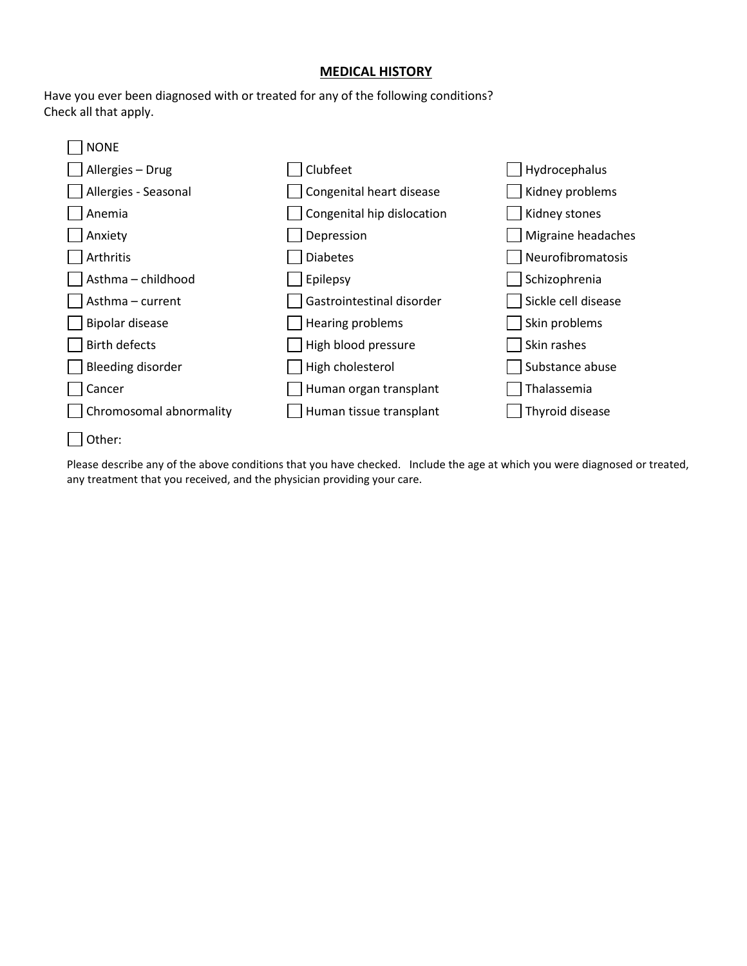#### **MEDICAL HISTORY**

Have you ever been diagnosed with or treated for any of the following conditions? Check all that apply.



Please describe any of the above conditions that you have checked. Include the age at which you were diagnosed or treated, any treatment that you received, and the physician providing your care.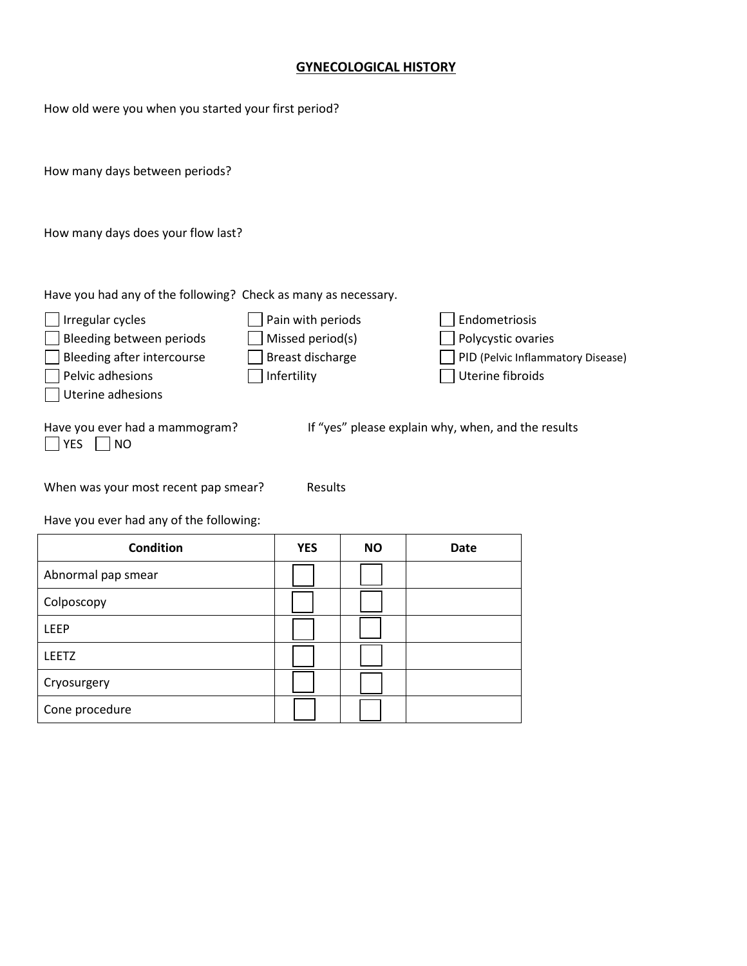## **GYNECOLOGICAL HISTORY**

How old were you when you started your first period?

How many days between periods?

How many days does your flow last?

Have you had any of the following? Check as many as necessary.

| Irregular cycles                              | Pain with periods | Endometriosis                                      |
|-----------------------------------------------|-------------------|----------------------------------------------------|
| Bleeding between periods                      | Missed period(s)  | Polycystic ovaries                                 |
| Bleeding after intercourse                    | Breast discharge  | PID (Pelvic Inflammatory Disease)                  |
| Pelvic adhesions                              | Infertility       | Uterine fibroids                                   |
| Uterine adhesions                             |                   |                                                    |
| Have you ever had a mammogram?<br> YES<br>NO. |                   | If "yes" please explain why, when, and the results |

When was your most recent pap smear? Results

Have you ever had any of the following:

| <b>Condition</b>   | <b>YES</b> | <b>NO</b> | <b>Date</b> |
|--------------------|------------|-----------|-------------|
| Abnormal pap smear |            |           |             |
| Colposcopy         |            |           |             |
| <b>LEEP</b>        |            |           |             |
| LEETZ              |            |           |             |
| Cryosurgery        |            |           |             |
| Cone procedure     |            |           |             |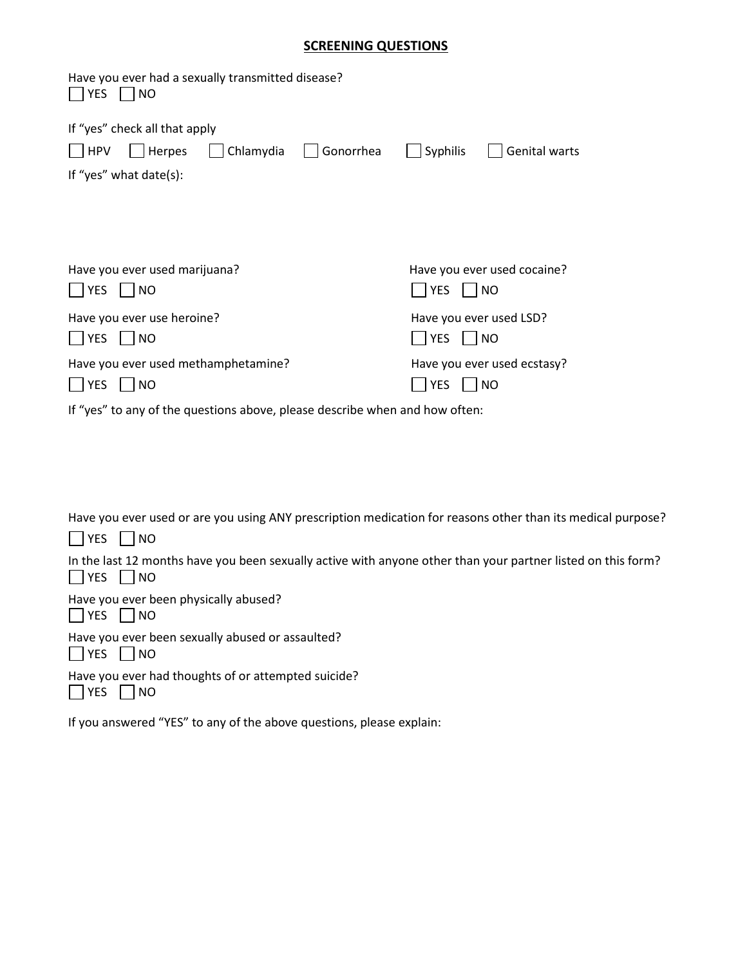#### **SCREENING QUESTIONS**

| Have you ever had a sexually transmitted disease?<br>YES<br><b>NO</b>                                |                                                              |
|------------------------------------------------------------------------------------------------------|--------------------------------------------------------------|
| If "yes" check all that apply<br>HPV<br>Chlamydia<br>Gonorrhea<br>  Herpes<br>If "yes" what date(s): | Genital warts<br>Syphilis                                    |
|                                                                                                      |                                                              |
| Have you ever used marijuana?<br><b>YES</b><br>$\overline{\phantom{a}}$ NO                           | Have you ever used cocaine?<br><b>YES</b><br>NO <sub>1</sub> |
| Have you ever use heroine?<br><b>YES</b><br><b>NO</b>                                                | Have you ever used LSD?<br><b>YES</b><br><b>NO</b>           |
| Have you ever used methamphetamine?<br><b>YES</b><br><b>NO</b>                                       | Have you ever used ecstasy?<br><b>YES</b><br><b>NO</b>       |
| If "yes" to any of the questions above, please describe when and how often:                          |                                                              |

Have you ever used or are you using ANY prescription medication for reasons other than its medical purpose?  $\Box$  YES  $\Box$  NO In the last 12 months have you been sexually active with anyone other than your partner listed on this form?  $\Box$  YES  $\Box$  NO Have you ever been physically abused?  $\Box$  YES  $\Box$  NO Have you ever been sexually abused or assaulted?  $\Box$  YES  $\Box$  NO Have you ever had thoughts of or attempted suicide?  $\Box$  YES  $\Box$  NO

If you answered "YES" to any of the above questions, please explain: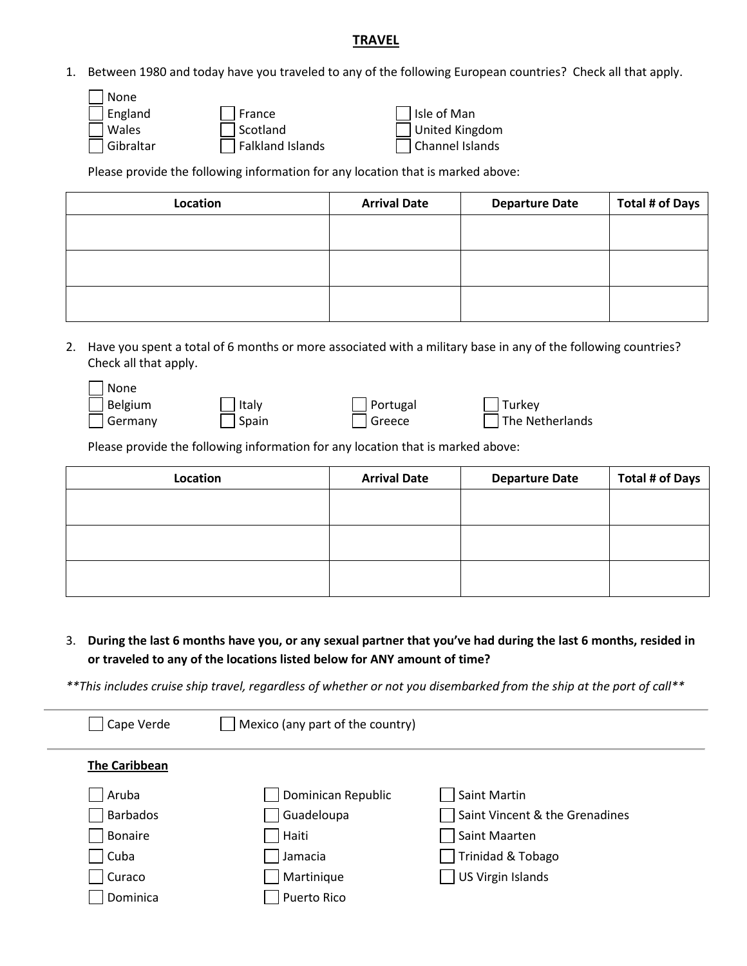#### **TRAVEL**

1. Between 1980 and today have you traveled to any of the following European countries? Check all that apply.

| <b>None</b>                          |                       |
|--------------------------------------|-----------------------|
| $\sqrt{ }$ France<br>England         | $\Box$ Isle of Man    |
| Scotland<br>Wales                    | $\Box$ United Kingdom |
| $\Box$ Falkland Islands<br>Gibraltar | Channel Islands       |

Please provide the following information for any location that is marked above:

| Location | <b>Arrival Date</b> | <b>Departure Date</b> | Total # of Days |
|----------|---------------------|-----------------------|-----------------|
|          |                     |                       |                 |
|          |                     |                       |                 |
|          |                     |                       |                 |
|          |                     |                       |                 |
|          |                     |                       |                 |
|          |                     |                       |                 |

2. Have you spent a total of 6 months or more associated with a military base in any of the following countries? Check all that apply.

| None    |                 |                 |                 |
|---------|-----------------|-----------------|-----------------|
| Belgium | $\vert$   Italy | $\Box$ Portugal | $\vert$ Turkey  |
| Germany | Spain           | Greece          | The Netherlands |

Please provide the following information for any location that is marked above:

| Location | <b>Arrival Date</b> | <b>Departure Date</b> | <b>Total # of Days</b> |
|----------|---------------------|-----------------------|------------------------|
|          |                     |                       |                        |
|          |                     |                       |                        |
|          |                     |                       |                        |
|          |                     |                       |                        |
|          |                     |                       |                        |
|          |                     |                       |                        |

3. **During the last 6 months have you, or any sexual partner that you've had during the last 6 months, resided in or traveled to any of the locations listed below for ANY amount of time?** 

*\*\*This includes cruise ship travel, regardless of whether or not you disembarked from the ship at the port of call\*\**

| Cape Verde           | Mexico (any part of the country) |                                |
|----------------------|----------------------------------|--------------------------------|
| <b>The Caribbean</b> |                                  |                                |
| Aruba                | Dominican Republic               | Saint Martin                   |
| <b>Barbados</b>      | Guadeloupa                       | Saint Vincent & the Grenadines |
| <b>Bonaire</b>       | Haiti                            | Saint Maarten                  |
| Cuba                 | Jamacia                          | Trinidad & Tobago              |
| Curaco               | Martinique                       | <b>US Virgin Islands</b>       |
| Dominica             | Puerto Rico                      |                                |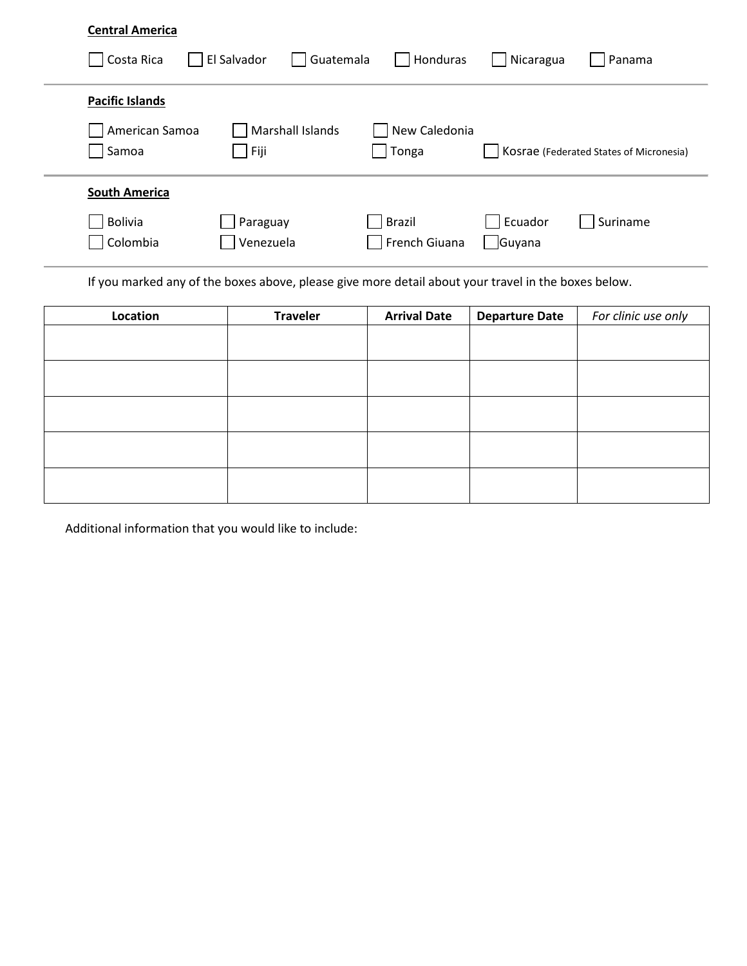| <b>Central America</b>  |                          |                         |                   |                                         |
|-------------------------|--------------------------|-------------------------|-------------------|-----------------------------------------|
| Costa Rica              | El Salvador<br>Guatemala | Honduras                | Nicaragua         | Panama                                  |
| <b>Pacific Islands</b>  |                          |                         |                   |                                         |
| American Samoa<br>Samoa | Marshall Islands<br>Fiji | New Caledonia<br>Tonga  |                   | Kosrae (Federated States of Micronesia) |
| <b>South America</b>    |                          |                         |                   |                                         |
| Bolivia<br>Colombia     | Paraguay<br>Venezuela    | Brazil<br>French Giuana | Ecuador<br>Guyana | Suriname                                |

If you marked any of the boxes above, please give more detail about your travel in the boxes below.

| Location | <b>Traveler</b> | <b>Arrival Date</b> | <b>Departure Date</b> | For clinic use only |
|----------|-----------------|---------------------|-----------------------|---------------------|
|          |                 |                     |                       |                     |
|          |                 |                     |                       |                     |
|          |                 |                     |                       |                     |
|          |                 |                     |                       |                     |
|          |                 |                     |                       |                     |
|          |                 |                     |                       |                     |
|          |                 |                     |                       |                     |
|          |                 |                     |                       |                     |
|          |                 |                     |                       |                     |
|          |                 |                     |                       |                     |

Additional information that you would like to include: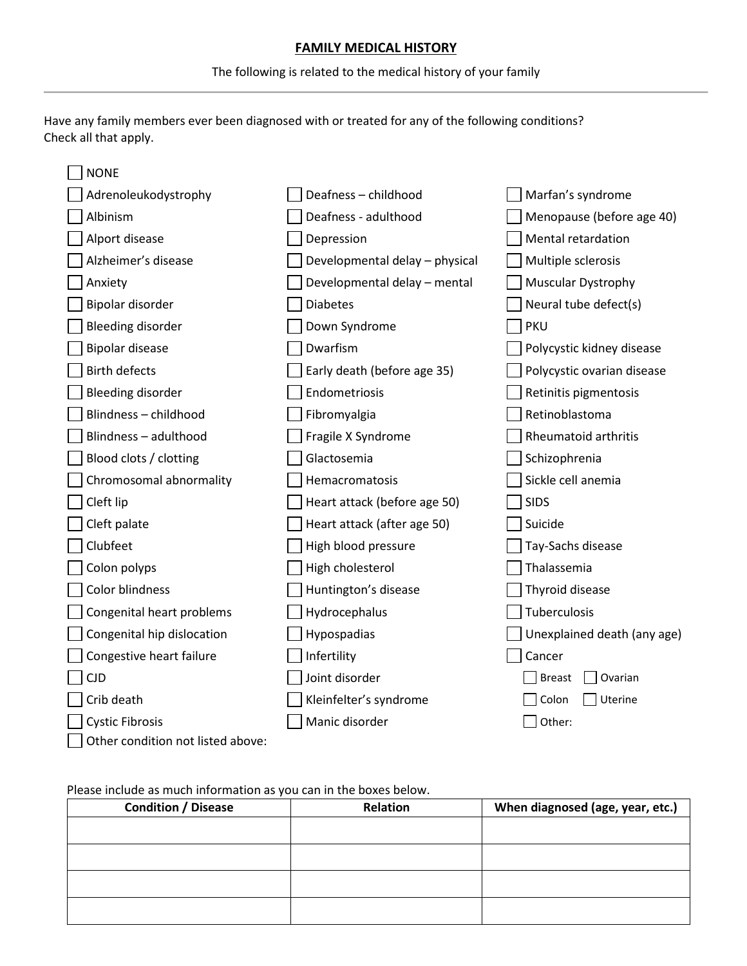### **FAMILY MEDICAL HISTORY**

The following is related to the medical history of your family

Have any family members ever been diagnosed with or treated for any of the following conditions? Check all that apply.

| <b>NONE</b>                       |                                |                             |
|-----------------------------------|--------------------------------|-----------------------------|
| Adrenoleukodystrophy              | Deafness - childhood           | Marfan's syndrome           |
| Albinism                          | Deafness - adulthood           | Menopause (before age 40)   |
| Alport disease                    | Depression                     | Mental retardation          |
| Alzheimer's disease               | Developmental delay - physical | Multiple sclerosis          |
| Anxiety                           | Developmental delay - mental   | <b>Muscular Dystrophy</b>   |
| Bipolar disorder                  | <b>Diabetes</b>                | Neural tube defect(s)       |
| <b>Bleeding disorder</b>          | Down Syndrome                  | <b>PKU</b>                  |
| <b>Bipolar disease</b>            | Dwarfism                       | Polycystic kidney disease   |
| <b>Birth defects</b>              | Early death (before age 35)    | Polycystic ovarian disease  |
| Bleeding disorder                 | Endometriosis                  | Retinitis pigmentosis       |
| Blindness - childhood             | Fibromyalgia                   | Retinoblastoma              |
| Blindness - adulthood             | Fragile X Syndrome             | Rheumatoid arthritis        |
| Blood clots / clotting            | Glactosemia                    | Schizophrenia               |
| Chromosomal abnormality           | Hemacromatosis                 | Sickle cell anemia          |
| Cleft lip                         | Heart attack (before age 50)   | <b>SIDS</b>                 |
| Cleft palate                      | Heart attack (after age 50)    | Suicide                     |
| Clubfeet                          | High blood pressure            | Tay-Sachs disease           |
| Colon polyps                      | High cholesterol               | Thalassemia                 |
| <b>Color blindness</b>            | Huntington's disease           | Thyroid disease             |
| Congenital heart problems         | Hydrocephalus                  | Tuberculosis                |
| Congenital hip dislocation        | Hypospadias                    | Unexplained death (any age) |
| Congestive heart failure          | Infertility                    | Cancer                      |
| <b>CJD</b>                        | Joint disorder                 | <b>Breast</b><br>Ovarian    |
| Crib death                        | Kleinfelter's syndrome         | Uterine<br>Colon            |
| <b>Cystic Fibrosis</b>            | Manic disorder                 | Other:                      |
| Other condition not listed above: |                                |                             |

#### Please include as much information as you can in the boxes below.

| <b>Condition / Disease</b> | Relation | When diagnosed (age, year, etc.) |
|----------------------------|----------|----------------------------------|
|                            |          |                                  |
|                            |          |                                  |
|                            |          |                                  |
|                            |          |                                  |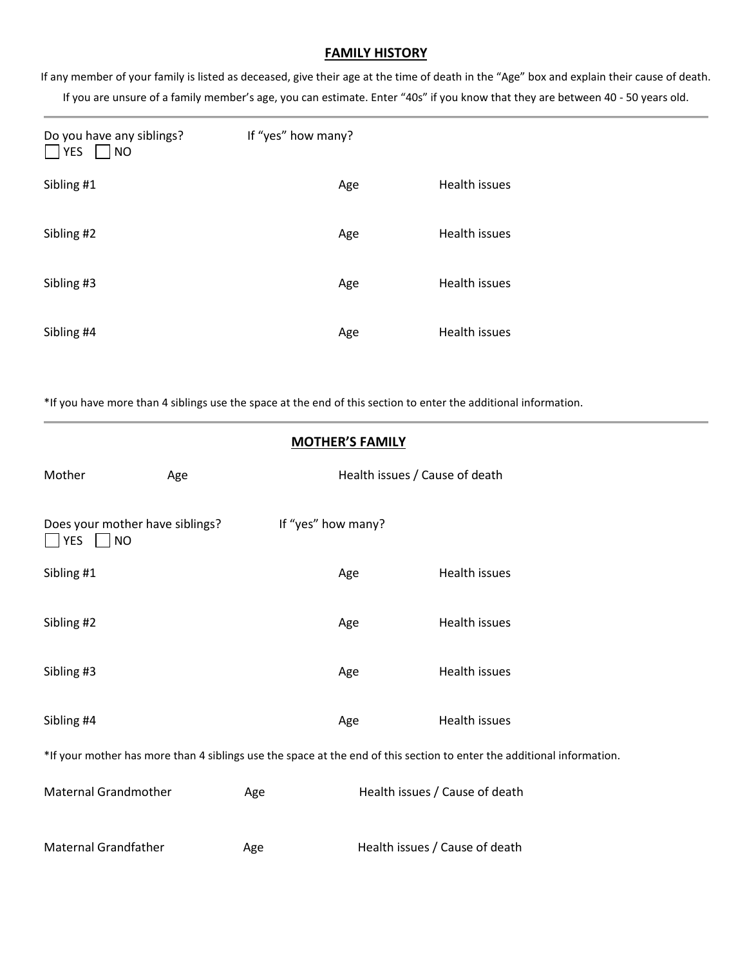#### **FAMILY HISTORY**

If any member of your family is listed as deceased, give their age at the time of death in the "Age" box and explain their cause of death. If you are unsure of a family member's age, you can estimate. Enter "40s" if you know that they are between 40 - 50 years old.

| Do you have any siblings?<br><b>YES</b><br>NO | If "yes" how many? |               |
|-----------------------------------------------|--------------------|---------------|
| Sibling #1                                    | Age                | Health issues |
| Sibling #2                                    | Age                | Health issues |
| Sibling #3                                    | Age                | Health issues |
| Sibling #4                                    | Age                | Health issues |

\*If you have more than 4 siblings use the space at the end of this section to enter the additional information.

| <b>MOTHER'S FAMILY</b>                                                                                                 |     |                    |                                |                                |
|------------------------------------------------------------------------------------------------------------------------|-----|--------------------|--------------------------------|--------------------------------|
| Mother                                                                                                                 | Age |                    | Health issues / Cause of death |                                |
| Does your mother have siblings?<br><b>PYES</b><br><b>NO</b>                                                            |     | If "yes" how many? |                                |                                |
| Sibling #1                                                                                                             |     |                    | Age                            | Health issues                  |
| Sibling #2                                                                                                             |     |                    | Age                            | Health issues                  |
| Sibling #3                                                                                                             |     |                    | Age                            | Health issues                  |
| Sibling #4                                                                                                             |     |                    | Age                            | <b>Health issues</b>           |
| *If your mother has more than 4 siblings use the space at the end of this section to enter the additional information. |     |                    |                                |                                |
| <b>Maternal Grandmother</b>                                                                                            |     | Age                |                                | Health issues / Cause of death |
| <b>Maternal Grandfather</b>                                                                                            |     | Age                |                                | Health issues / Cause of death |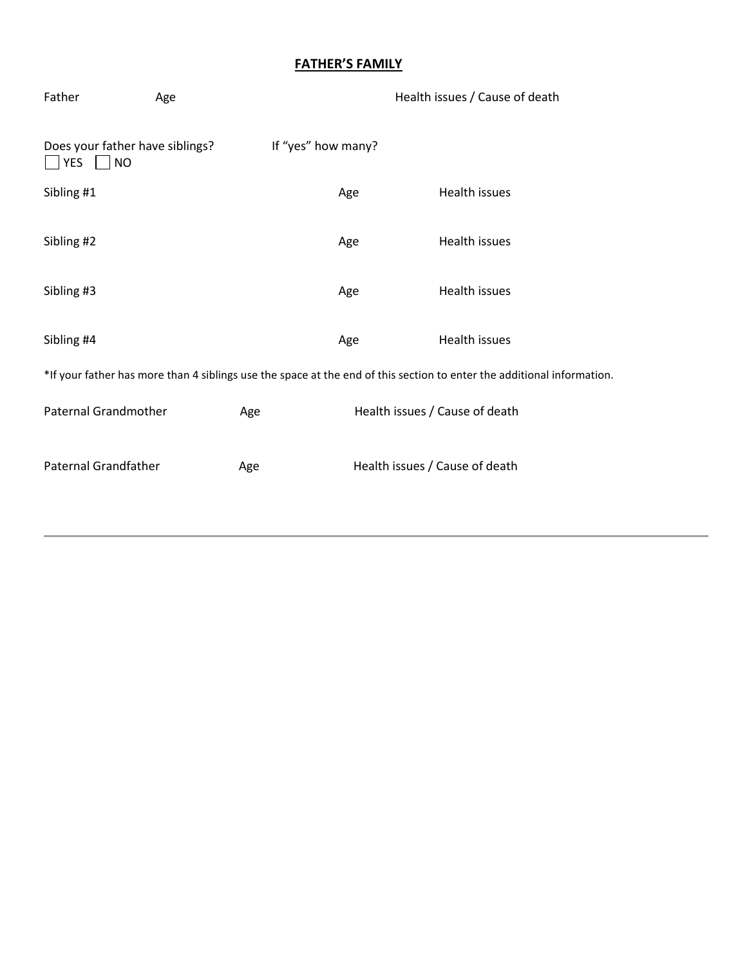# **FATHER'S FAMILY**

| Age                                                                                                                    |     |     | Health issues / Cause of death |  |
|------------------------------------------------------------------------------------------------------------------------|-----|-----|--------------------------------|--|
| Does your father have siblings?                                                                                        |     |     |                                |  |
|                                                                                                                        |     | Age | Health issues                  |  |
|                                                                                                                        |     | Age | Health issues                  |  |
|                                                                                                                        |     | Age | Health issues                  |  |
|                                                                                                                        |     | Age | Health issues                  |  |
| *If your father has more than 4 siblings use the space at the end of this section to enter the additional information. |     |     |                                |  |
| Paternal Grandmother                                                                                                   | Age |     | Health issues / Cause of death |  |
| <b>Paternal Grandfather</b>                                                                                            |     |     | Health issues / Cause of death |  |
|                                                                                                                        |     | Age | If "yes" how many?             |  |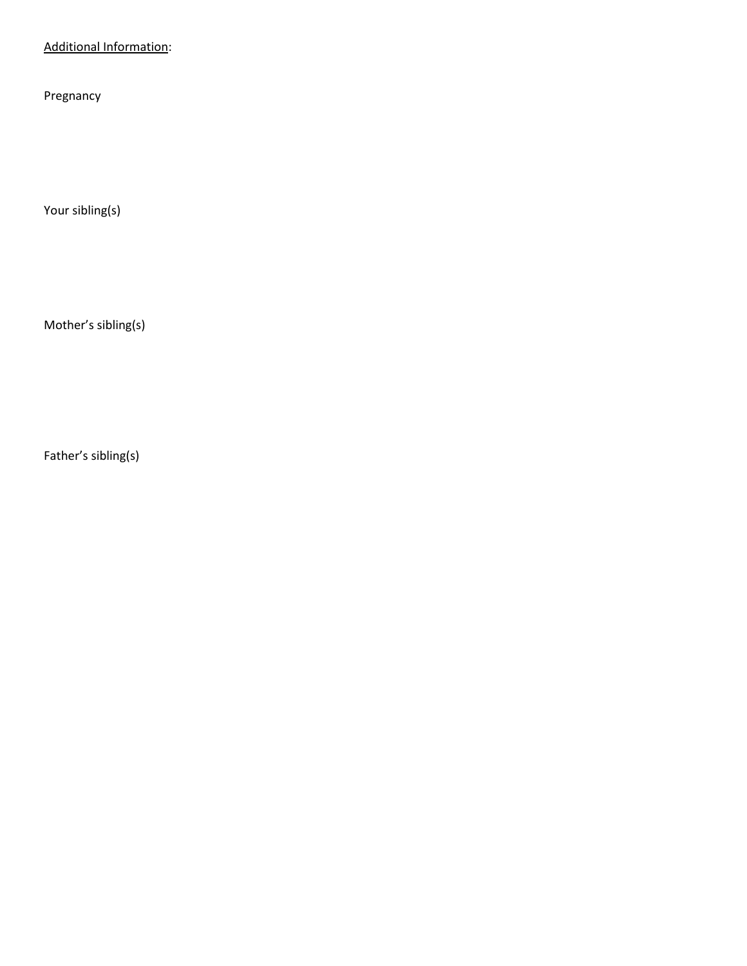# Additional Information:

Pregnancy

Your sibling(s)

Mother's sibling(s)

Father's sibling(s)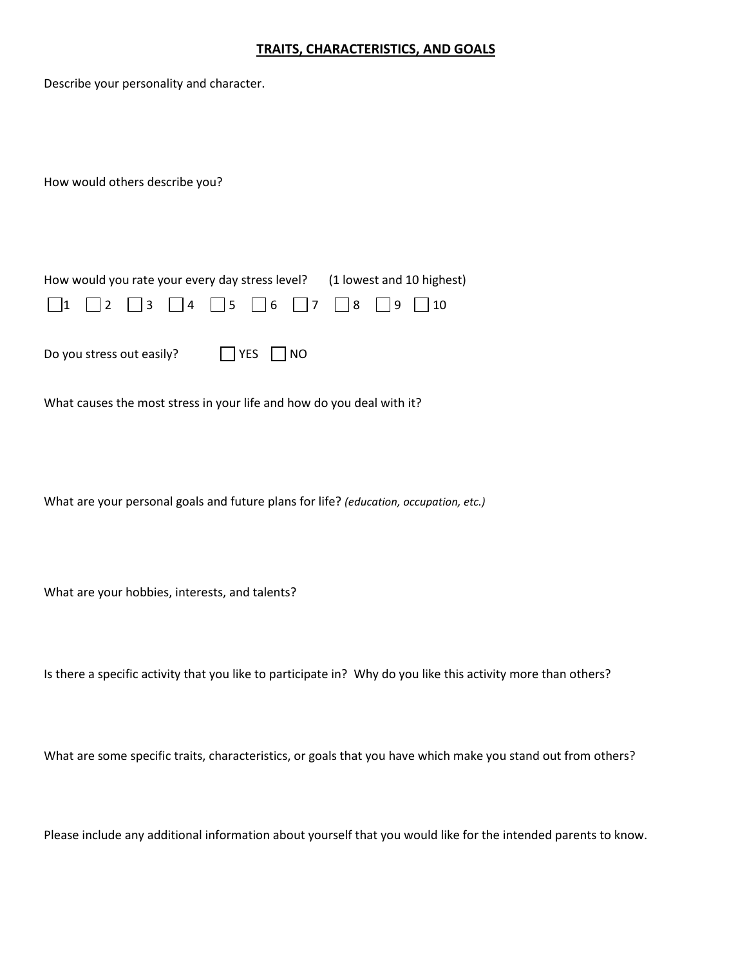#### **TRAITS, CHARACTERISTICS, AND GOALS**

Describe your personality and character.

How would others describe you?

|  |  |  |                                                                                            | How would you rate your every day stress level? (1 lowest and 10 highest) |  |
|--|--|--|--------------------------------------------------------------------------------------------|---------------------------------------------------------------------------|--|
|  |  |  | $\Box$ 1 $\Box$ 2 $\Box$ 3 $\Box$ 4 $\Box$ 5 $\Box$ 6 $\Box$ 7 $\Box$ 8 $\Box$ 9 $\Box$ 10 |                                                                           |  |

Do you stress out easily? <br> <br> TYES NO

What causes the most stress in your life and how do you deal with it?

What are your personal goals and future plans for life? *(education, occupation, etc.)*

What are your hobbies, interests, and talents?

Is there a specific activity that you like to participate in? Why do you like this activity more than others?

What are some specific traits, characteristics, or goals that you have which make you stand out from others?

Please include any additional information about yourself that you would like for the intended parents to know.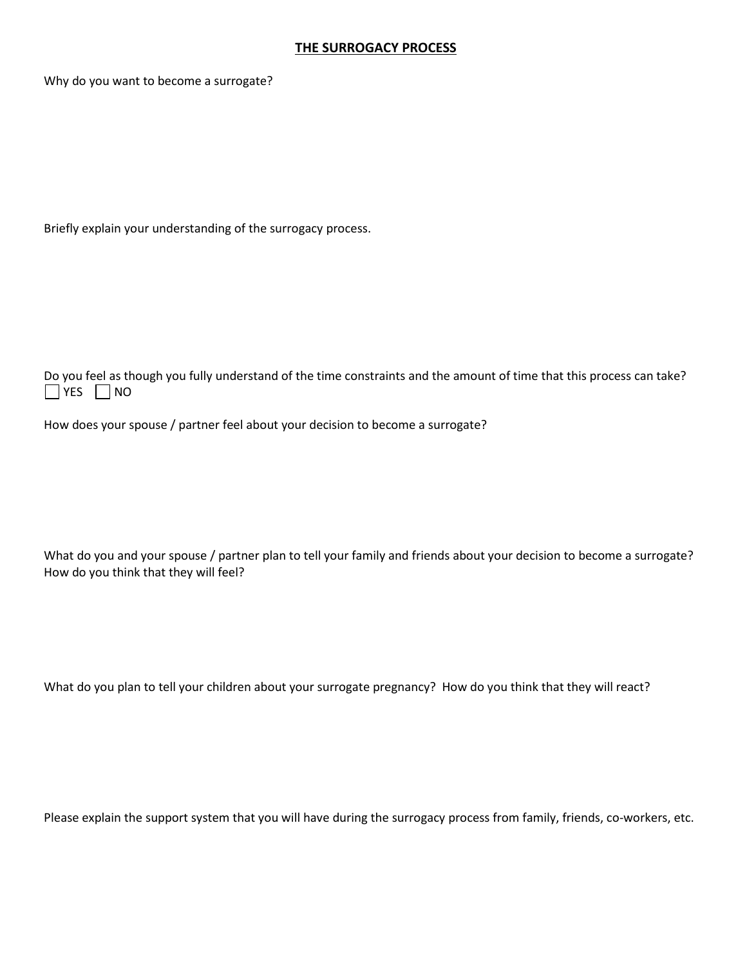#### **THE SURROGACY PROCESS**

Why do you want to become a surrogate?

Briefly explain your understanding of the surrogacy process.

Do you feel as though you fully understand of the time constraints and the amount of time that this process can take?  $\Box$  YES  $\Box$  NO

How does your spouse / partner feel about your decision to become a surrogate?

What do you and your spouse / partner plan to tell your family and friends about your decision to become a surrogate? How do you think that they will feel?

What do you plan to tell your children about your surrogate pregnancy? How do you think that they will react?

Please explain the support system that you will have during the surrogacy process from family, friends, co-workers, etc.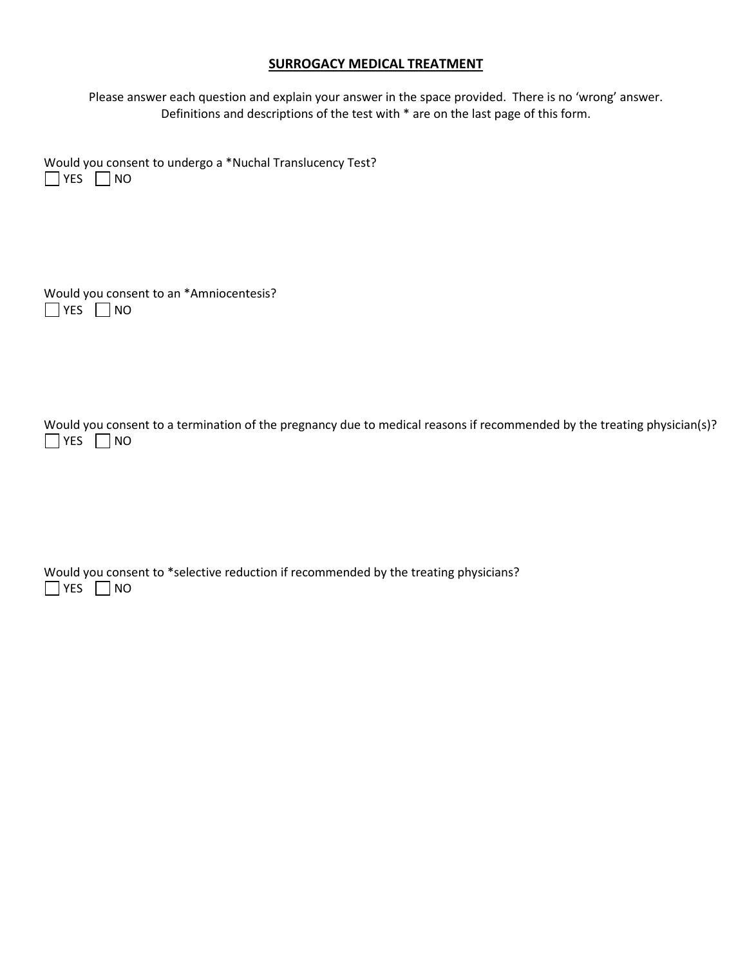#### **SURROGACY MEDICAL TREATMENT**

Please answer each question and explain your answer in the space provided. There is no 'wrong' answer. Definitions and descriptions of the test with \* are on the last page of this form.

Would you consent to undergo a \*Nuchal Translucency Test?  $\Box$  YES  $\Box$  NO

|                      | Would you consent to an *Amniocentesis? |
|----------------------|-----------------------------------------|
| $\Box$ YES $\Box$ NO |                                         |

Would you consent to a termination of the pregnancy due to medical reasons if recommended by the treating physician(s)?  $\Box$  YES  $\Box$  NO

Would you consent to \*selective reduction if recommended by the treating physicians?  $\Box$  YES  $\Box$  NO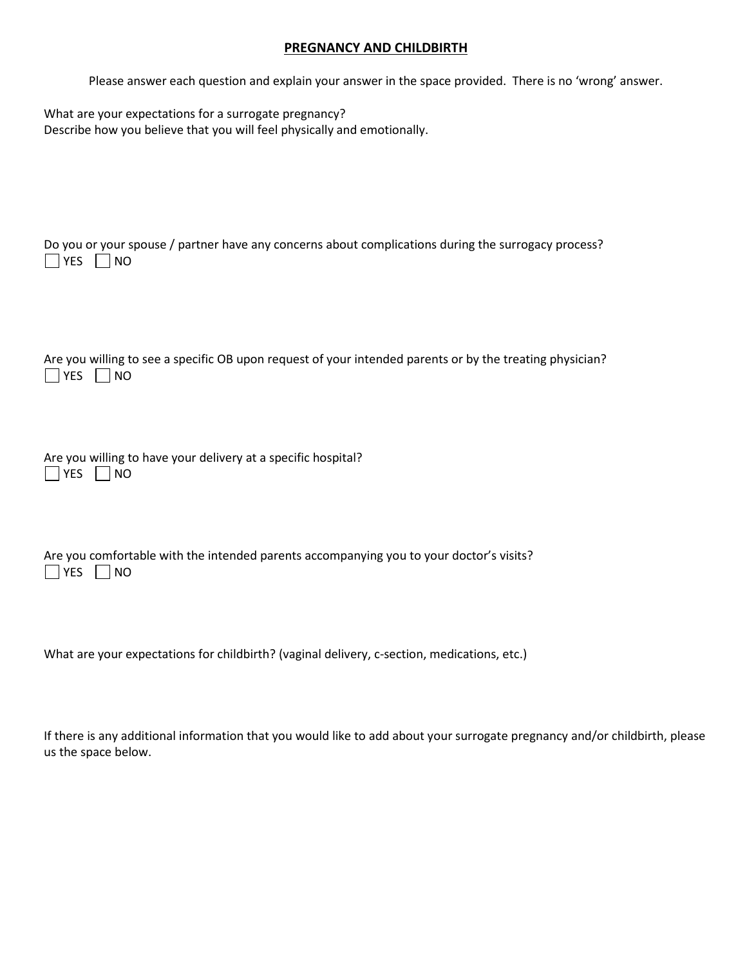#### **PREGNANCY AND CHILDBIRTH**

Please answer each question and explain your answer in the space provided. There is no 'wrong' answer.

| What are your expectations for a surrogate pregnancy?                   |
|-------------------------------------------------------------------------|
| Describe how you believe that you will feel physically and emotionally. |

| Do you or your spouse / partner have any concerns about complications during the surrogacy process?<br><b>YES</b><br><b>NO</b>      |
|-------------------------------------------------------------------------------------------------------------------------------------|
| Are you willing to see a specific OB upon request of your intended parents or by the treating physician?<br><b>YES</b><br><b>NO</b> |
| Are you willing to have your delivery at a specific hospital?<br><b>YES</b><br><b>NO</b>                                            |
| Are you comfortable with the intended parents accompanying you to your doctor's visits?<br><b>YES</b><br><b>NO</b>                  |
| What are your expectations for childbirth? (vaginal delivery, c-section, medications, etc.)                                         |

If there is any additional information that you would like to add about your surrogate pregnancy and/or childbirth, please us the space below.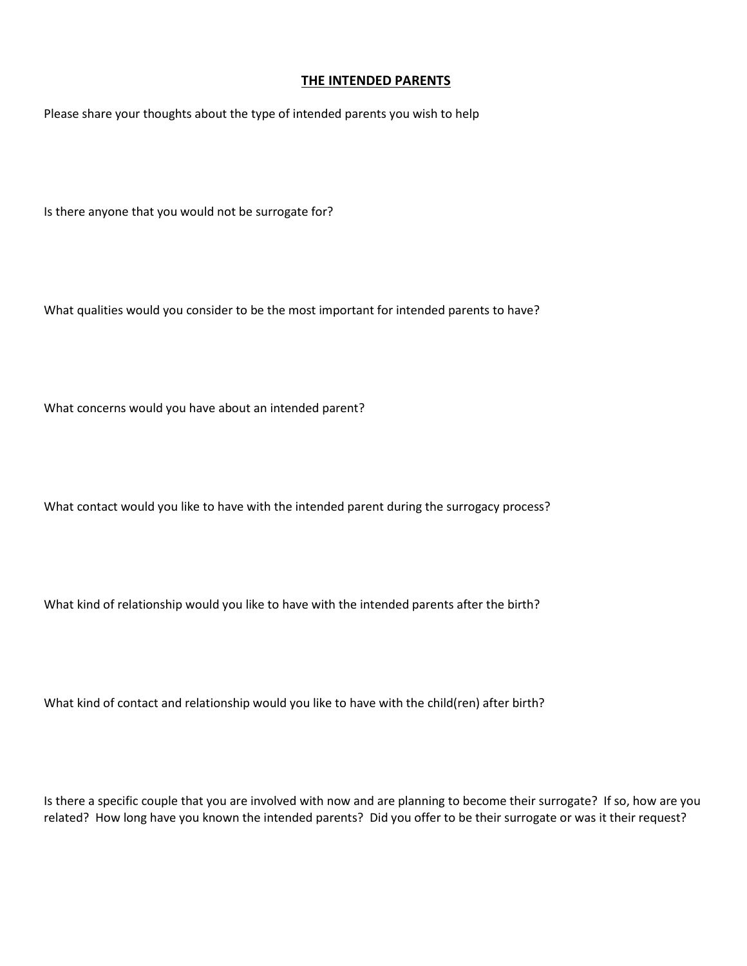#### **THE INTENDED PARENTS**

Please share your thoughts about the type of intended parents you wish to help

Is there anyone that you would not be surrogate for?

What qualities would you consider to be the most important for intended parents to have?

What concerns would you have about an intended parent?

What contact would you like to have with the intended parent during the surrogacy process?

What kind of relationship would you like to have with the intended parents after the birth?

What kind of contact and relationship would you like to have with the child(ren) after birth?

Is there a specific couple that you are involved with now and are planning to become their surrogate? If so, how are you related? How long have you known the intended parents? Did you offer to be their surrogate or was it their request?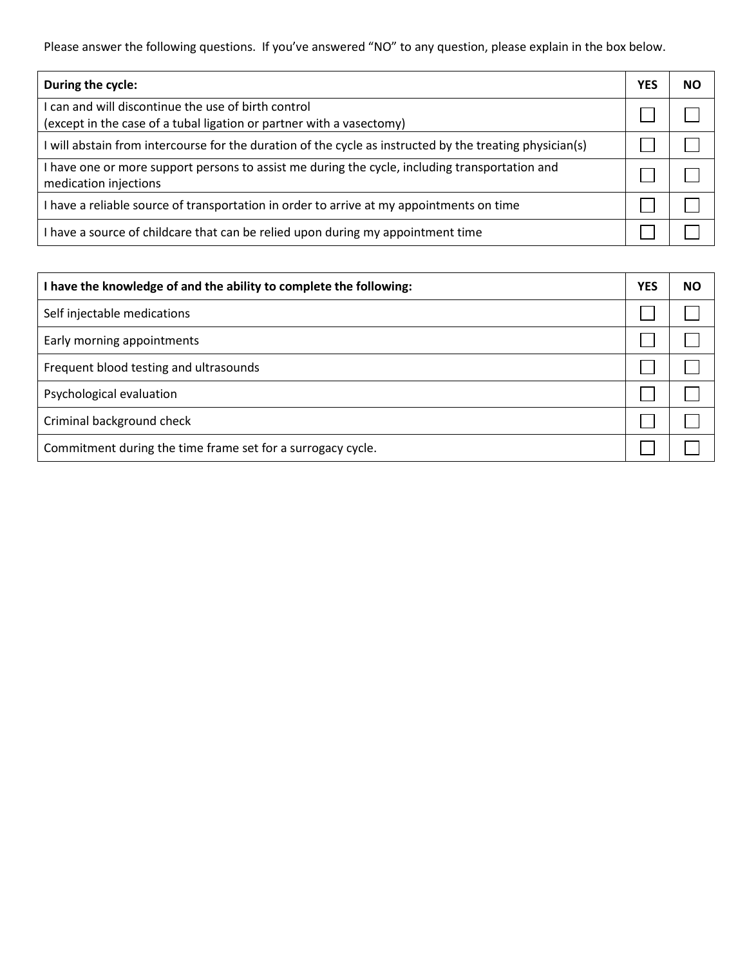Please answer the following questions. If you've answered "NO" to any question, please explain in the box below.

| During the cycle:                                                                                                           | <b>YES</b> | <b>NO</b> |
|-----------------------------------------------------------------------------------------------------------------------------|------------|-----------|
| I can and will discontinue the use of birth control<br>(except in the case of a tubal ligation or partner with a vasectomy) |            |           |
| I will abstain from intercourse for the duration of the cycle as instructed by the treating physician(s)                    |            |           |
| I have one or more support persons to assist me during the cycle, including transportation and<br>medication injections     |            |           |
| I have a reliable source of transportation in order to arrive at my appointments on time                                    |            |           |
| I have a source of childcare that can be relied upon during my appointment time                                             |            |           |

| have the knowledge of and the ability to complete the following: |  |  |
|------------------------------------------------------------------|--|--|
| Self injectable medications                                      |  |  |
| Early morning appointments                                       |  |  |
| Frequent blood testing and ultrasounds                           |  |  |
| Psychological evaluation                                         |  |  |
| Criminal background check                                        |  |  |
| Commitment during the time frame set for a surrogacy cycle.      |  |  |